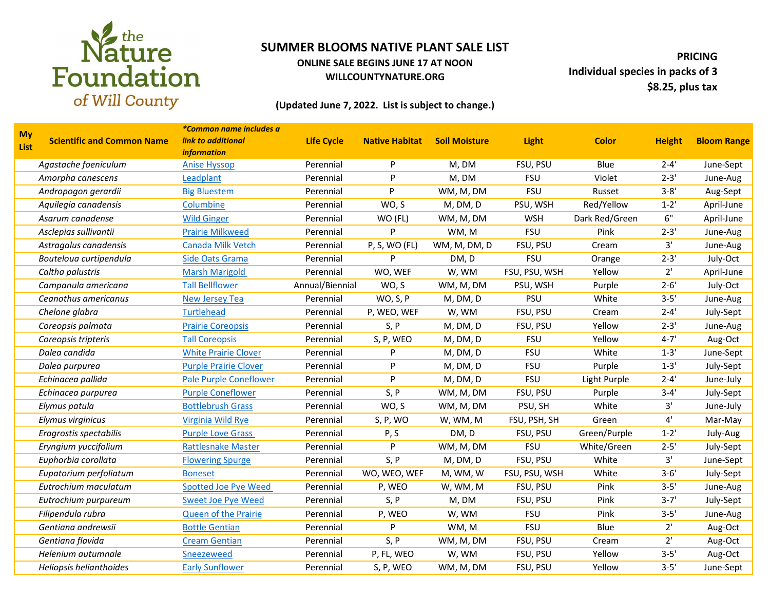

### **ONLINE SALE BEGINS JUNE 17 AT NOON WILLCOUNTYNATURE.ORG**

**PRICING Individual species in packs of 3 \$8.25, plus tax**

### **(Updated June 7, 2022. List is subject to change.)**

|                          |                                   | *Common name includes a       |                   |                       |                      |               |                |               |                    |
|--------------------------|-----------------------------------|-------------------------------|-------------------|-----------------------|----------------------|---------------|----------------|---------------|--------------------|
| <b>My</b><br><b>List</b> | <b>Scientific and Common Name</b> | link to additional            | <b>Life Cycle</b> | <b>Native Habitat</b> | <b>Soil Moisture</b> | <b>Light</b>  | <b>Color</b>   | <b>Height</b> | <b>Bloom Range</b> |
|                          |                                   | <i>information</i>            |                   |                       |                      |               |                |               |                    |
|                          | Agastache foeniculum              | <b>Anise Hyssop</b>           | Perennial         | P                     | M, DM                | FSU, PSU      | Blue           | $2 - 4'$      | June-Sept          |
|                          | Amorpha canescens                 | Leadplant                     | Perennial         | P                     | M, DM                | <b>FSU</b>    | Violet         | $2 - 3'$      | June-Aug           |
|                          | Andropogon gerardii               | <b>Big Bluestem</b>           | Perennial         | P                     | WM, M, DM            | <b>FSU</b>    | Russet         | $3 - 8'$      | Aug-Sept           |
|                          | Aquilegia canadensis              | Columbine                     | Perennial         | WO, S                 | M, DM, D             | PSU, WSH      | Red/Yellow     | $1 - 2'$      | April-June         |
|                          | Asarum canadense                  | <b>Wild Ginger</b>            | Perennial         | WO (FL)               | WM, M, DM            | <b>WSH</b>    | Dark Red/Green | 6"            | April-June         |
|                          | Asclepias sullivantii             | <b>Prairie Milkweed</b>       | Perennial         | P                     | WM, M                | <b>FSU</b>    | Pink           | $2 - 3'$      | June-Aug           |
|                          | Astragalus canadensis             | Canada Milk Vetch             | Perennial         | P, S, WO (FL)         | WM, M, DM, D         | FSU, PSU      | Cream          | 3'            | June-Aug           |
|                          | Bouteloua curtipendula            | Side Oats Grama               | Perennial         | P                     | DM, D                | <b>FSU</b>    | Orange         | $2 - 3'$      | July-Oct           |
|                          | Caltha palustris                  | <b>Marsh Marigold</b>         | Perennial         | WO, WEF               | W, WM                | FSU, PSU, WSH | Yellow         | 2'            | April-June         |
|                          | Campanula americana               | <b>Tall Bellflower</b>        | Annual/Biennial   | WO, S                 | WM, M, DM            | PSU, WSH      | Purple         | $2 - 6'$      | July-Oct           |
|                          | Ceanothus americanus              | <b>New Jersey Tea</b>         | Perennial         | WO, S, P              | M, DM, D             | PSU           | White          | $3 - 5'$      | June-Aug           |
|                          | Chelone glabra                    | <b>Turtlehead</b>             | Perennial         | P, WEO, WEF           | W, WM                | FSU, PSU      | Cream          | $2 - 4'$      | July-Sept          |
|                          | Coreopsis palmata                 | <b>Prairie Coreopsis</b>      | Perennial         | S, P                  | M, DM, D             | FSU, PSU      | Yellow         | $2 - 3'$      | June-Aug           |
|                          | Coreopsis tripteris               | <b>Tall Coreopsis</b>         | Perennial         | S, P, WEO             | M, DM, D             | <b>FSU</b>    | Yellow         | $4 - 7'$      | Aug-Oct            |
|                          | Dalea candida                     | <b>White Prairie Clover</b>   | Perennial         | P                     | M, DM, D             | <b>FSU</b>    | White          | $1 - 3'$      | June-Sept          |
|                          | Dalea purpurea                    | <b>Purple Prairie Clover</b>  | Perennial         | P                     | M, DM, D             | <b>FSU</b>    | Purple         | $1 - 3'$      | July-Sept          |
|                          | Echinacea pallida                 | <b>Pale Purple Coneflower</b> | Perennial         | P                     | M, DM, D             | <b>FSU</b>    | Light Purple   | $2 - 4'$      | June-July          |
|                          | Echinacea purpurea                | <b>Purple Coneflower</b>      | Perennial         | S, P                  | WM, M, DM            | FSU, PSU      | Purple         | $3 - 4'$      | July-Sept          |
|                          | Elymus patula                     | <b>Bottlebrush Grass</b>      | Perennial         | WO, S                 | WM, M, DM            | PSU, SH       | White          | 3'            | June-July          |
|                          | Elymus virginicus                 | Virginia Wild Rye             | Perennial         | S, P, WO              | W, WM, M             | FSU, PSH, SH  | Green          | 4'            | Mar-May            |
|                          | Eragrostis spectabilis            | <b>Purple Love Grass</b>      | Perennial         | P, S                  | DM, D                | FSU, PSU      | Green/Purple   | $1 - 2'$      | July-Aug           |
|                          | Eryngium yuccifolium              | <b>Rattlesnake Master</b>     | Perennial         | P                     | WM, M, DM            | <b>FSU</b>    | White/Green    | $2 - 5'$      | July-Sept          |
|                          | Euphorbia corollata               | <b>Flowering Spurge</b>       | Perennial         | S, P                  | M, DM, D             | FSU, PSU      | White          | 3'            | June-Sept          |
|                          | Eupatorium perfoliatum            | <b>Boneset</b>                | Perennial         | WO, WEO, WEF          | M, WM, W             | FSU, PSU, WSH | White          | $3 - 6'$      | July-Sept          |
|                          | Eutrochium maculatum              | <b>Spotted Joe Pye Weed</b>   | Perennial         | P, WEO                | W, WM, M             | FSU, PSU      | Pink           | $3 - 5'$      | June-Aug           |
|                          | Eutrochium purpureum              | <b>Sweet Joe Pye Weed</b>     | Perennial         | S, P                  | M, DM                | FSU, PSU      | Pink           | $3 - 7'$      | July-Sept          |
|                          | Filipendula rubra                 | <b>Queen of the Prairie</b>   | Perennial         | P, WEO                | W, WM                | <b>FSU</b>    | Pink           | $3 - 5'$      | June-Aug           |
|                          | Gentiana andrewsii                | <b>Bottle Gentian</b>         | Perennial         | P                     | WM, M                | <b>FSU</b>    | Blue           | 2'            | Aug-Oct            |
|                          | Gentiana flavida                  | <b>Cream Gentian</b>          | Perennial         | S, P                  | WM, M, DM            | FSU, PSU      | Cream          | 2'            | Aug-Oct            |
|                          | Helenium autumnale                | Sneezeweed                    | Perennial         | P, FL, WEO            | W, WM                | FSU, PSU      | Yellow         | $3 - 5'$      | Aug-Oct            |
|                          | Heliopsis helianthoides           | <b>Early Sunflower</b>        | Perennial         | S, P, WEO             | WM, M, DM            | FSU, PSU      | Yellow         | $3 - 5'$      | June-Sept          |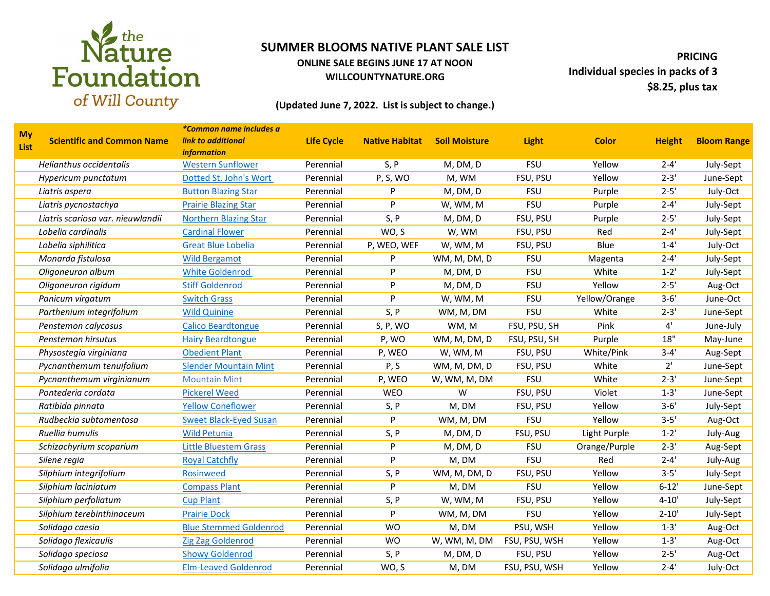

### **ONLINE SALE BEGINS JUNE 17 AT NOON WILLCOUNTYNATURE.ORG**

**PRICING Individual species in packs of 3 \$8.25, plus tax**

### **(Updated June 7, 2022. List is subject to change.)**

|                          |                                   | *Common name includes a       |                   |                       |                      |               |               |               |                    |
|--------------------------|-----------------------------------|-------------------------------|-------------------|-----------------------|----------------------|---------------|---------------|---------------|--------------------|
| <b>My</b><br><b>List</b> | <b>Scientific and Common Name</b> | <b>link to additional</b>     | <b>Life Cycle</b> | <b>Native Habitat</b> | <b>Soil Moisture</b> | <b>Light</b>  | <b>Color</b>  | <b>Height</b> | <b>Bloom Range</b> |
|                          |                                   | <i>information</i>            |                   |                       |                      |               |               |               |                    |
|                          | Helianthus occidentalis           | <b>Western Sunflower</b>      | Perennial         | S, P                  | M, DM, D             | <b>FSU</b>    | Yellow        | $2 - 4'$      | July-Sept          |
|                          | Hypericum punctatum               | Dotted St. John's Wort        | Perennial         | P, S, WO              | M, WM                | FSU, PSU      | Yellow        | $2 - 3'$      | June-Sept          |
|                          | Liatris aspera                    | <b>Button Blazing Star</b>    | Perennial         | P                     | M, DM, D             | <b>FSU</b>    | Purple        | $2 - 5'$      | July-Oct           |
|                          | Liatris pycnostachya              | <b>Prairie Blazing Star</b>   | Perennial         | P                     | W, WM, M             | <b>FSU</b>    | Purple        | $2 - 4'$      | July-Sept          |
|                          | Liatris scariosa var. nieuwlandii | <b>Northern Blazing Star</b>  | Perennial         | S, P                  | M, DM, D             | FSU, PSU      | Purple        | $2 - 5'$      | July-Sept          |
|                          | Lobelia cardinalis                | <b>Cardinal Flower</b>        | Perennial         | WO, S                 | W, WM                | FSU, PSU      | Red           | $2 - 4'$      | July-Sept          |
|                          | Lobelia siphilitica               | <b>Great Blue Lobelia</b>     | Perennial         | P, WEO, WEF           | W, WM, M             | FSU, PSU      | Blue          | $1 - 4'$      | July-Oct           |
|                          | Monarda fistulosa                 | <b>Wild Bergamot</b>          | Perennial         | P                     | WM, M, DM, D         | <b>FSU</b>    | Magenta       | $2 - 4'$      | July-Sept          |
|                          | Oligoneuron album                 | <b>White Goldenrod</b>        | Perennial         | P                     | M, DM, D             | <b>FSU</b>    | White         | $1 - 2'$      | July-Sept          |
|                          | Oligoneuron rigidum               | <b>Stiff Goldenrod</b>        | Perennial         | P                     | M, DM, D             | <b>FSU</b>    | Yellow        | $2 - 5'$      | Aug-Oct            |
|                          | Panicum virgatum                  | <b>Switch Grass</b>           | Perennial         | P                     | W, WM, M             | <b>FSU</b>    | Yellow/Orange | $3 - 6'$      | June-Oct           |
|                          | Parthenium integrifolium          | <b>Wild Quinine</b>           | Perennial         | S, P                  | WM, M, DM            | <b>FSU</b>    | White         | $2 - 3'$      | June-Sept          |
|                          | Penstemon calycosus               | <b>Calico Beardtongue</b>     | Perennial         | S, P, WO              | WM, M                | FSU, PSU, SH  | Pink          | 4'            | June-July          |
|                          | Penstemon hirsutus                | <b>Hairy Beardtongue</b>      | Perennial         | P, WO                 | WM, M, DM, D         | FSU, PSU, SH  | Purple        | 18"           | May-June           |
|                          | Physostegia virginiana            | <b>Obedient Plant</b>         | Perennial         | P, WEO                | W, WM, M             | FSU, PSU      | White/Pink    | $3 - 4'$      | Aug-Sept           |
|                          | Pycnanthemum tenuifolium          | <b>Slender Mountain Mint</b>  | Perennial         | P, S                  | WM, M, DM, D         | FSU, PSU      | White         | $2^{\prime}$  | June-Sept          |
|                          | Pycnanthemum virginianum          | <b>Mountain Mint</b>          | Perennial         | P, WEO                | W, WM, M, DM         | <b>FSU</b>    | White         | $2 - 3'$      | June-Sept          |
|                          | Pontederia cordata                | <b>Pickerel Weed</b>          | Perennial         | <b>WEO</b>            | W                    | FSU, PSU      | Violet        | $1 - 3'$      | June-Sept          |
|                          | Ratibida pinnata                  | <b>Yellow Coneflower</b>      | Perennial         | S, P                  | M, DM                | FSU, PSU      | Yellow        | $3 - 6'$      | July-Sept          |
|                          | Rudbeckia subtomentosa            | <b>Sweet Black-Eyed Susan</b> | Perennial         | P                     | WM, M, DM            | <b>FSU</b>    | Yellow        | $3 - 5'$      | Aug-Oct            |
|                          | Ruellia humulis                   | <b>Wild Petunia</b>           | Perennial         | S, P                  | M, DM, D             | FSU, PSU      | Light Purple  | $1 - 2'$      | July-Aug           |
|                          | Schizachyrium scoparium           | <b>Little Bluestem Grass</b>  | Perennial         | P                     | M, DM, D             | <b>FSU</b>    | Orange/Purple | $2 - 3'$      | Aug-Sept           |
|                          | Silene regia                      | <b>Royal Catchfly</b>         | Perennial         | P                     | M, DM                | <b>FSU</b>    | Red           | $2 - 4'$      | July-Aug           |
|                          | Silphium integrifolium            | <b>Rosinweed</b>              | Perennial         | S, P                  | WM, M, DM, D         | FSU, PSU      | Yellow        | $3 - 5'$      | July-Sept          |
|                          | Silphium laciniatum               | <b>Compass Plant</b>          | Perennial         | P                     | M, DM                | <b>FSU</b>    | Yellow        | $6 - 12'$     | June-Sept          |
|                          | Silphium perfoliatum              | <b>Cup Plant</b>              | Perennial         | S, P                  | W, WM, M             | FSU, PSU      | Yellow        | $4 - 10'$     | July-Sept          |
|                          | Silphium terebinthinaceum         | <b>Prairie Dock</b>           | Perennial         | P                     | WM, M, DM            | <b>FSU</b>    | Yellow        | $2 - 10'$     | July-Sept          |
|                          | Solidago caesia                   | <b>Blue Stemmed Goldenrod</b> | Perennial         | <b>WO</b>             | M, DM                | PSU, WSH      | Yellow        | $1 - 3'$      | Aug-Oct            |
|                          | Solidago flexicaulis              | <b>Zig Zag Goldenrod</b>      | Perennial         | <b>WO</b>             | W, WM, M, DM         | FSU, PSU, WSH | Yellow        | $1 - 3'$      | Aug-Oct            |
|                          | Solidago speciosa                 | <b>Showy Goldenrod</b>        | Perennial         | S, P                  | M, DM, D             | FSU, PSU      | Yellow        | $2 - 5'$      | Aug-Oct            |
|                          | Solidago ulmifolia                | <b>Elm-Leaved Goldenrod</b>   | Perennial         | WO, S                 | M, DM                | FSU, PSU, WSH | Yellow        | $2 - 4'$      | July-Oct           |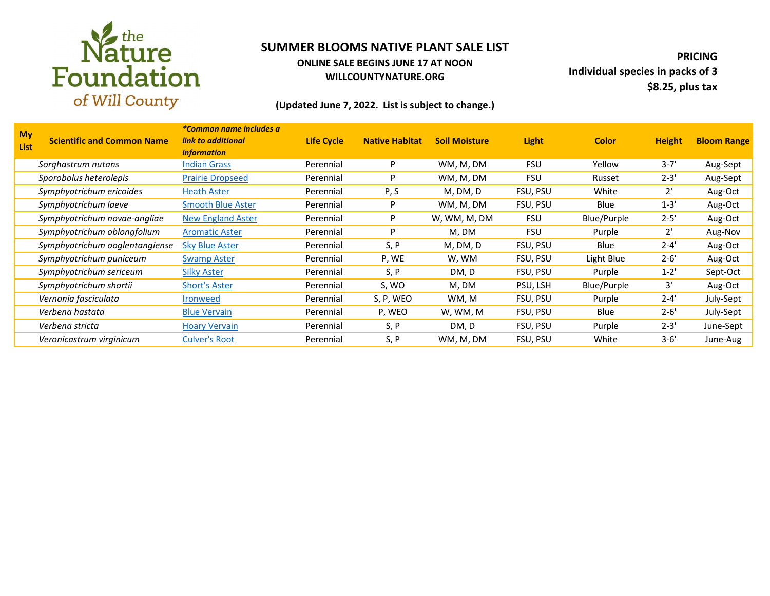

### **ONLINE SALE BEGINS JUNE 17 AT NOON WILLCOUNTYNATURE.ORG**

**PRICING Individual species in packs of 3 \$8.25, plus tax**

### **(Updated June 7, 2022. List is subject to change.)**

| <b>My</b><br>List | <b>Scientific and Common Name</b> | <i>*Common name includes a</i><br>link to additional<br><i>information</i> | <b>Life Cycle</b> | <b>Native Habitat</b> | <b>Soil Moisture</b> | <b>Light</b> | <b>Color</b> | <b>Height</b> | <b>Bloom Range</b> |
|-------------------|-----------------------------------|----------------------------------------------------------------------------|-------------------|-----------------------|----------------------|--------------|--------------|---------------|--------------------|
|                   | Sorghastrum nutans                | <b>Indian Grass</b>                                                        | Perennial         | P                     | WM, M, DM            | <b>FSU</b>   | Yellow       | $3 - 7'$      | Aug-Sept           |
|                   | Sporobolus heterolepis            | <b>Prairie Dropseed</b>                                                    | Perennial         | P                     | WM, M, DM            | <b>FSU</b>   | Russet       | $2 - 3'$      | Aug-Sept           |
|                   | Symphyotrichum ericoides          | <b>Heath Aster</b>                                                         | Perennial         | P, S                  | M, DM, D             | FSU, PSU     | White        | $2^{\prime}$  | Aug-Oct            |
|                   | Symphyotrichum laeve              | <b>Smooth Blue Aster</b>                                                   | Perennial         | P                     | WM, M, DM            | FSU, PSU     | Blue         | $1 - 3'$      | Aug-Oct            |
|                   | Symphyotrichum novae-angliae      | New England Aster                                                          | Perennial         | P                     | W, WM, M, DM         | <b>FSU</b>   | Blue/Purple  | $2 - 5'$      | Aug-Oct            |
|                   | Symphyotrichum oblongfolium       | <b>Aromatic Aster</b>                                                      | Perennial         | P                     | M, DM                | <b>FSU</b>   | Purple       | $2^{\prime}$  | Aug-Nov            |
|                   | Symphyotrichum ooglentangiense    | <b>Sky Blue Aster</b>                                                      | Perennial         | S, P                  | M, DM, D             | FSU, PSU     | Blue         | $2 - 4'$      | Aug-Oct            |
|                   | Symphyotrichum puniceum           | <b>Swamp Aster</b>                                                         | Perennial         | P, WE                 | W, WM                | FSU, PSU     | Light Blue   | $2 - 6'$      | Aug-Oct            |
|                   | Symphyotrichum sericeum           | <b>Silky Aster</b>                                                         | Perennial         | S, P                  | DM, D                | FSU, PSU     | Purple       | $1 - 2'$      | Sept-Oct           |
|                   | Symphyotrichum shortii            | <b>Short's Aster</b>                                                       | Perennial         | S, WO                 | M, DM                | PSU, LSH     | Blue/Purple  | 3'            | Aug-Oct            |
|                   | Vernonia fasciculata              | <b>Ironweed</b>                                                            | Perennial         | S, P, WEO             | WM, M                | FSU, PSU     | Purple       | $2 - 4'$      | July-Sept          |
|                   | Verbena hastata                   | <b>Blue Vervain</b>                                                        | Perennial         | P, WEO                | W, WM, M             | FSU, PSU     | Blue         | $2 - 6'$      | July-Sept          |
|                   | Verbena stricta                   | <b>Hoary Vervain</b>                                                       | Perennial         | S, P                  | DM, D                | FSU, PSU     | Purple       | $2 - 3'$      | June-Sept          |
|                   | Veronicastrum virginicum          | <b>Culver's Root</b>                                                       | Perennial         | S, P                  | WM, M, DM            | FSU, PSU     | White        | $3 - 6'$      | June-Aug           |